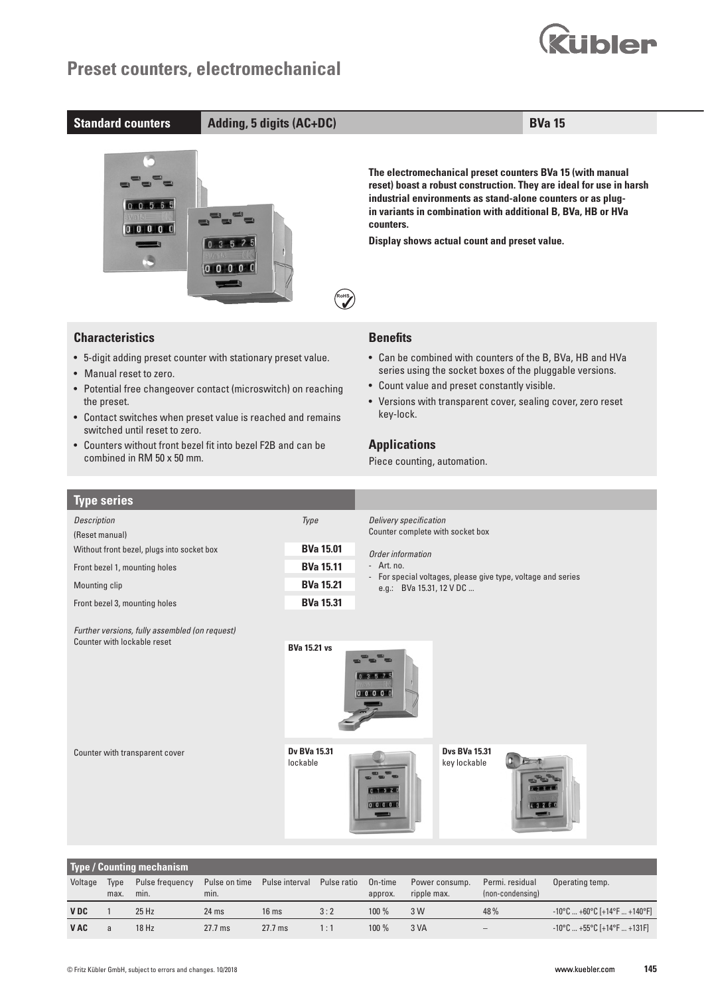



| Front bezel 1, mounting holes | <b>BVa 15.11</b> |
|-------------------------------|------------------|
| Mounting clip                 | <b>BVa 15.21</b> |

Front bezel 3, mounting holes **BVa 15.31** 

- Art. no.

- For special voltages, please give type, voltage and series e.g.: BVa 15.31, 12 V DC ...

*Further versions, fully assembled (on request)* **Counter with lockable reset BVa 15.21 vs** 

Counter with transparent cover



 $0.3 - 5 - 7$  $00000$ 

> **Dvs BVa 15.31** key lockable



| <b>Type / Counting mechanism</b> |      |                 |                  |                  |             |         |                |                  |                                                                         |
|----------------------------------|------|-----------------|------------------|------------------|-------------|---------|----------------|------------------|-------------------------------------------------------------------------|
| Voltage                          | Type | Pulse frequency | Pulse on time    | Pulse interval   | Pulse ratio | On-time | Power consump. | Permi. residual  | Operating temp.                                                         |
|                                  | max. | min.            | min.             |                  |             | approx. | ripple max.    | (non-condensing) |                                                                         |
| <b>VDC</b>                       |      | $25$ Hz         | 24 <sub>ms</sub> | 16 <sub>ms</sub> | 3:2         | $100\%$ | 3 W            | 48%              | $-10^{\circ}$ C  +60 $^{\circ}$ C [+14 $^{\circ}$ F  +140 $^{\circ}$ F] |
| V AC                             |      | 18 Hz           | $27.7$ ms        | $27.7$ ms        | 1 : 1       | $100\%$ | 3 VA           |                  | $-10^{\circ}$ C  +55 $^{\circ}$ C [+14 $^{\circ}$ F  +131F]             |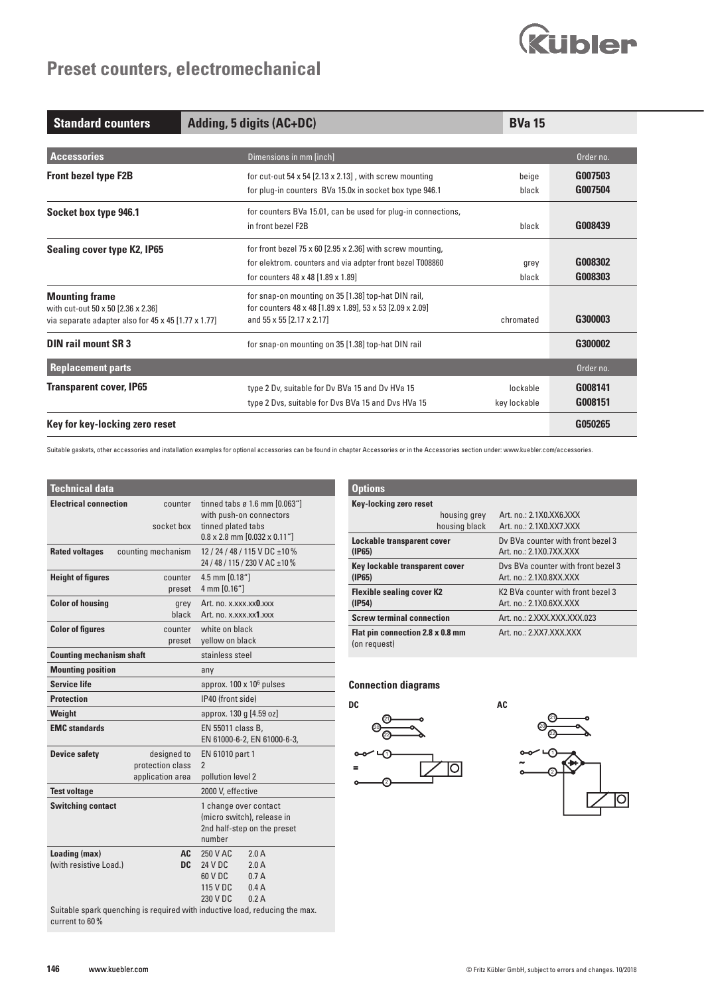# **Rubler**

## **Preset counters, electromechanical**

| <b>Standard counters</b>                            | Adding, 5 digits (AC+DC)                                       | <b>BVa 15</b> |           |
|-----------------------------------------------------|----------------------------------------------------------------|---------------|-----------|
|                                                     |                                                                |               |           |
| <b>Accessories</b>                                  | Dimensions in mm [inch]                                        |               | Order no. |
| <b>Front bezel type F2B</b>                         | for cut-out 54 x 54 $[2.13 \times 2.13]$ , with screw mounting | beige         | G007503   |
|                                                     | for plug-in counters BVa 15.0x in socket box type 946.1        | black         | G007504   |
| Socket box type 946.1                               | for counters BVa 15.01, can be used for plug-in connections,   |               |           |
|                                                     | in front bezel F2B                                             | black         | G008439   |
| Sealing cover type K2, IP65                         | for front bezel 75 x 60 [2.95 x 2.36] with screw mounting,     |               |           |
|                                                     | for elektrom. counters and via adpter front bezel T008860      | grey          | G008302   |
|                                                     | for counters 48 x 48 [1.89 x 1.89]                             | black         | G008303   |
| <b>Mounting frame</b>                               | for snap-on mounting on 35 [1.38] top-hat DIN rail,            |               |           |
| with cut-out 50 x 50 [2.36 x 2.36]                  | for counters 48 x 48 [1.89 x 1.89], 53 x 53 [2.09 x 2.09]      |               |           |
| via separate adapter also for 45 x 45 [1.77 x 1.77] | and 55 x 55 [2.17 x 2.17]                                      | chromated     | G300003   |
| <b>DIN rail mount SR 3</b>                          | for snap-on mounting on 35 [1.38] top-hat DIN rail             |               | G300002   |
| <b>Replacement parts</b>                            |                                                                |               | Order no. |
| <b>Transparent cover, IP65</b>                      | type 2 Dv, suitable for Dv BVa 15 and Dv HVa 15                | lockable      | G008141   |
|                                                     | type 2 Dvs, suitable for Dvs BVa 15 and Dvs HVa 15             | key lockable  | G008151   |
| Key for key-locking zero reset                      |                                                                |               | G050265   |

Suitable gaskets, other accessories and installation examples for optional accessories can be found in chapter Accessories or in the Accessories section under: www.kuebler.com/accessories.

| <b>Technical data</b>                   |                                                     |                                                                                                                                                                               | <b>Options</b>                         |  |
|-----------------------------------------|-----------------------------------------------------|-------------------------------------------------------------------------------------------------------------------------------------------------------------------------------|----------------------------------------|--|
| <b>Electrical connection</b>            | counter<br>socket box                               | tinned tabs ø 1.6 mm [0.063"]<br>with push-on connectors<br>tinned plated tabs<br>$0.8 \times 2.8$ mm $[0.032 \times 0.11$ "                                                  | <b>Key-lock</b>                        |  |
| <b>Rated voltages</b>                   | counting mechanism                                  | 12/24/48/115 VDC ±10%<br>24 / 48 / 115 / 230 V AC ±10 %                                                                                                                       | Lockable<br>(IP65)                     |  |
| <b>Height of figures</b>                | counter                                             | 4.5 mm [0.18"]                                                                                                                                                                | Key locka<br>(IP65)                    |  |
| <b>Color of housing</b>                 | preset<br>grey<br>black                             | 4 mm [0.16"]<br>Art. no. x.xxx.xx0.xxx<br>Art. no. x.xxx.xx1.xxx                                                                                                              | <b>Flexible:</b><br>(IP54)<br>Screw te |  |
| <b>Color of figures</b>                 | counter<br>preset                                   | white on black<br>yellow on black                                                                                                                                             | Flat pin c<br>(on reque                |  |
| <b>Counting mechanism shaft</b>         |                                                     | stainless steel                                                                                                                                                               |                                        |  |
| <b>Mounting position</b>                |                                                     | any                                                                                                                                                                           |                                        |  |
| <b>Service life</b>                     |                                                     | approx. $100 \times 10^6$ pulses                                                                                                                                              | <b>Connect</b>                         |  |
| <b>Protection</b>                       |                                                     | IP40 (front side)                                                                                                                                                             | DC                                     |  |
| Weight                                  |                                                     | approx. 130 g [4.59 oz]                                                                                                                                                       |                                        |  |
| <b>EMC</b> standards                    |                                                     | EN 55011 class B,<br>EN 61000-6-2, EN 61000-6-3,                                                                                                                              |                                        |  |
| <b>Device safety</b>                    | designed to<br>protection class<br>application area | EN 61010 part 1<br>$\overline{2}$<br>pollution level 2                                                                                                                        |                                        |  |
| <b>Test voltage</b>                     |                                                     | 2000 V, effective                                                                                                                                                             |                                        |  |
| <b>Switching contact</b>                |                                                     | 1 change over contact<br>(micro switch), release in<br>2nd half-step on the preset<br>number                                                                                  |                                        |  |
| Loading (max)<br>(with resistive Load.) | AC.<br><b>DC</b>                                    | 2.0A<br>250 V AC<br>2.0A<br>24 V DC<br>60 V DC<br>0.7A<br>0.4A<br>115 V DC<br>230 V DC<br>0.2A<br>Suitable spark quenching is required with inductive load, reducing the max. |                                        |  |
| current to 60 %                         |                                                     |                                                                                                                                                                               |                                        |  |

| <b>Options</b>                                   |                                               |  |  |  |  |  |  |
|--------------------------------------------------|-----------------------------------------------|--|--|--|--|--|--|
| <b>Key-locking zero reset</b>                    |                                               |  |  |  |  |  |  |
| housing grey                                     | Art. no.: 2.1X0.XX6.XXX                       |  |  |  |  |  |  |
| housing black                                    | Art. no.: 2.1X0.XX7.XXX                       |  |  |  |  |  |  |
| <b>Lockable transparent cover</b>                | Dy BVa counter with front bezel 3             |  |  |  |  |  |  |
| (IP65)                                           | Art. no.: 2.1X0.7XX.XXX                       |  |  |  |  |  |  |
| Key lockable transparent cover                   | Dys BVa counter with front bezel 3            |  |  |  |  |  |  |
| (IP65)                                           | Art. no.: 2.1X0.8XX.XXX                       |  |  |  |  |  |  |
| <b>Flexible sealing cover K2</b>                 | K <sub>2</sub> BVa counter with front bezel 3 |  |  |  |  |  |  |
| (IP54)                                           | Art. no.: 2.1X0.6XX.XXX                       |  |  |  |  |  |  |
| <b>Screw terminal connection</b>                 | Art. no.: 2.XXX.XXX.XXX.023                   |  |  |  |  |  |  |
| Flat pin connection 2.8 x 0.8 mm<br>(on request) | Art. no.: 2.XX7.XXX.XXX                       |  |  |  |  |  |  |

### **Connection diagrams**



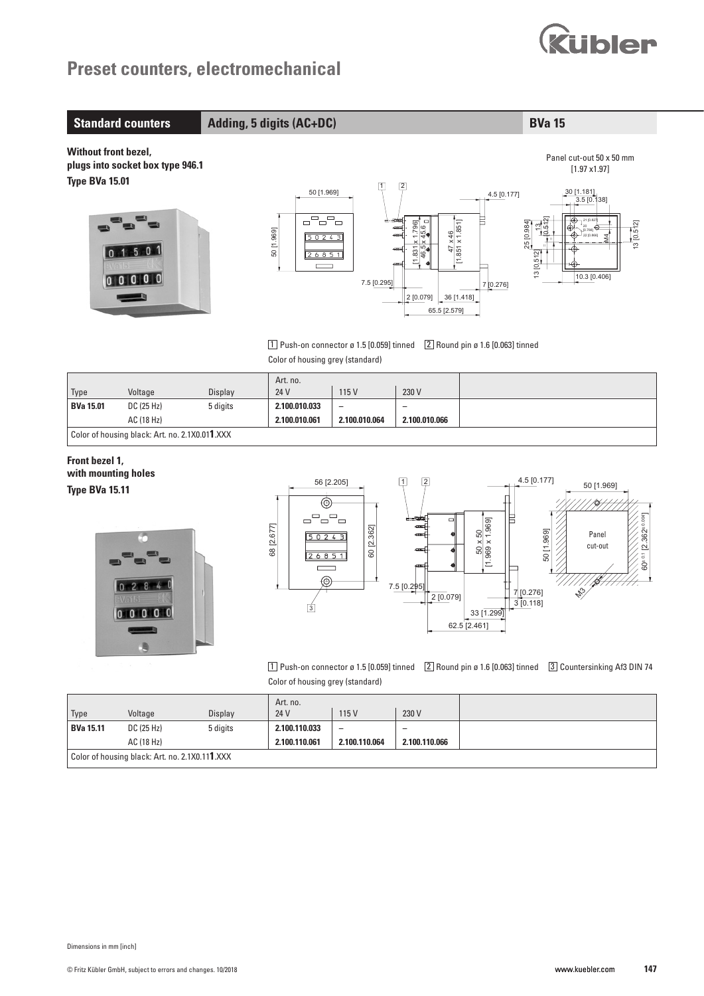

### **Standard counters Adding, 5 digits (AC+DC) BVa 15**

**Without front bezel, plugs into socket box type 946.1 Type BVa 15.01**





 $\boxed{1}$  Push-on connector ø 1.5  $[0.059]$  tinned  $\boxed{2}$  Round pin ø 1.6  $[0.063]$  tinned Color of housing grey (standard)

|                                                |            |          | Art. no.      |                          |                          |  |
|------------------------------------------------|------------|----------|---------------|--------------------------|--------------------------|--|
| Type                                           | Voltage    | Display  | 24 V          | 115 V                    | 230 V                    |  |
| <b>BVa 15.01</b>                               | DC (25 Hz) | 5 digits | 2.100.010.033 | $\overline{\phantom{0}}$ | $\overline{\phantom{0}}$ |  |
|                                                | AC (18 Hz) |          | 2.100.010.061 | 2.100.010.064            | 2.100.010.066            |  |
| Color of housing black: Art. no. 2.1X0.011.XXX |            |          |               |                          |                          |  |

### **Front bezel 1, with mounting holes Type BVa 15.11**





 $\boxed{1}$  Push-on connector ø 1.5 [0.059] tinned  $\boxed{2}$  Round pin ø 1.6 [0.063] tinned  $\boxed{3}$  Countersinking Af3 DIN 74 Color of housing grey (standard)

|                                                |            |          | Art. no.      |                          |               |  |
|------------------------------------------------|------------|----------|---------------|--------------------------|---------------|--|
| Type                                           | Voltage    | Display  | 24 V          | 115 V                    | 230 V         |  |
| <b>BVa 15.11</b>                               | DC (25 Hz) | 5 digits | 2.100.110.033 | $\overline{\phantom{0}}$ |               |  |
|                                                | AC (18 Hz) |          | 2.100.110.061 | 2.100.110.064            | 2.100.110.066 |  |
| Color of housing black: Art. no. 2.1X0.111.XXX |            |          |               |                          |               |  |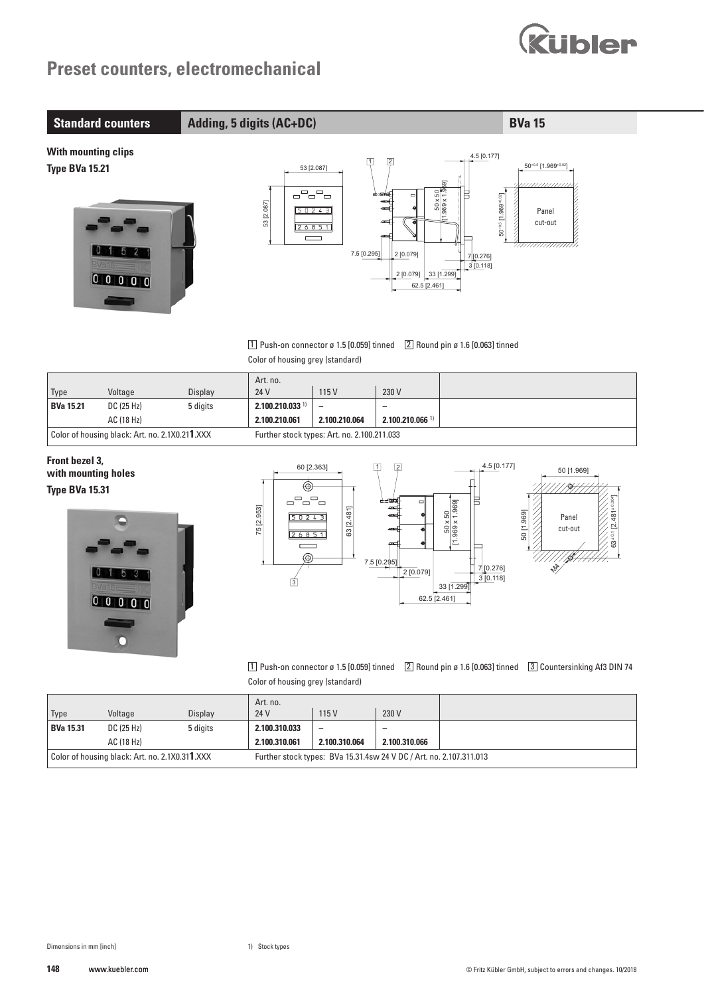

### **Standard counters Adding, 5 digits (AC+DC) BVa 15**

**With mounting clips Type BVa 15.21**





 $\boxed{1}$  Push-on connector ø 1.5  $[0.059]$  tinned  $\boxed{2}$  Round pin ø 1.6  $[0.063]$  tinned Color of housing grey (standard)

|                                                |            |          | Art. no.                                    |               |                               |  |
|------------------------------------------------|------------|----------|---------------------------------------------|---------------|-------------------------------|--|
| <sup>'</sup> Type                              | Voltage    | Display  | 24 V                                        | 115 V         | 230 V                         |  |
| <b>BVa 15.21</b>                               | DC (25 Hz) | 5 digits | $2.100.210.033$ <sup>1)</sup>               |               | -                             |  |
|                                                | AC (18 Hz) |          | 2.100.210.061                               | 2.100.210.064 | $2.100.210.066$ <sup>1)</sup> |  |
| Color of housing black: Art. no. 2.1X0.211.XXX |            |          | Further stock types: Art. no. 2.100.211.033 |               |                               |  |

### **Front bezel 3, with mounting holes Type BVa 15.31**





 $\boxed{1}$  Push-on connector ø 1.5 [0.059] tinned  $\boxed{2}$  Round pin ø 1.6 [0.063] tinned  $\boxed{3}$  Countersinking Af3 DIN 74 Color of housing grey (standard)

|                                                |            |          | Art. no.                                                            |               |               |  |
|------------------------------------------------|------------|----------|---------------------------------------------------------------------|---------------|---------------|--|
| Type                                           | Voltage    | Display  | 24 V                                                                | 115 V         | 230 V         |  |
| <b>BVa 15.31</b>                               | DC (25 Hz) | 5 digits | 2.100.310.033                                                       |               |               |  |
|                                                | AC (18 Hz) |          | 2.100.310.061                                                       | 2.100.310.064 | 2.100.310.066 |  |
| Color of housing black: Art. no. 2.1X0.311.XXX |            |          | Further stock types: BVa 15.31.4sw 24 V DC / Art. no. 2.107.311.013 |               |               |  |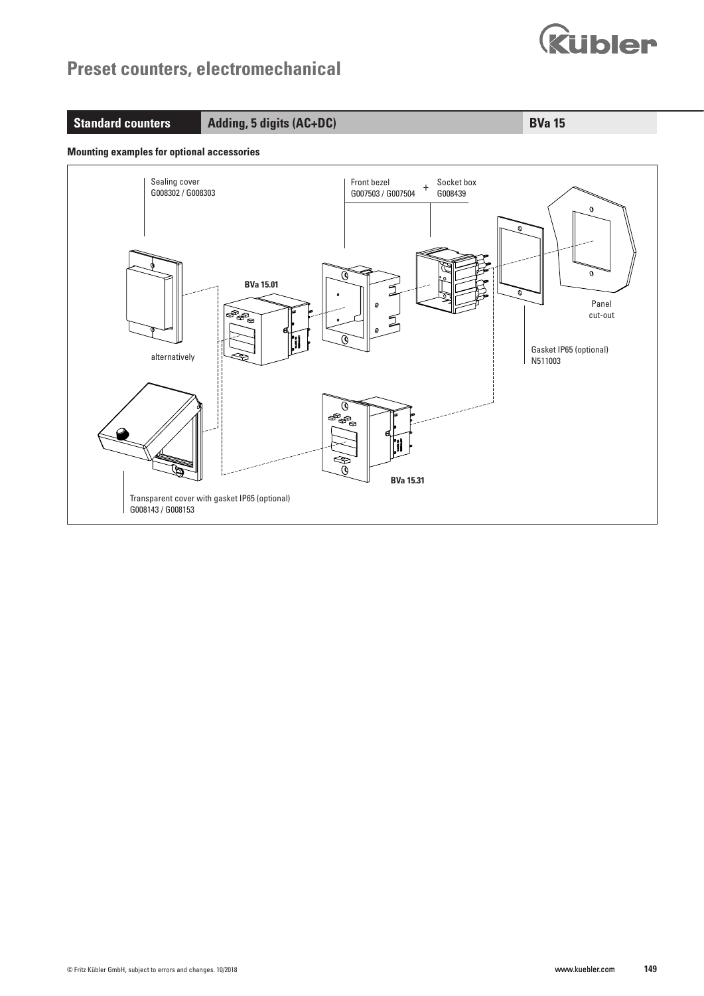

### **Standard counters Adding, 5 digits (AC+DC) BVa 15**

#### **Mounting examples for optional accessories**

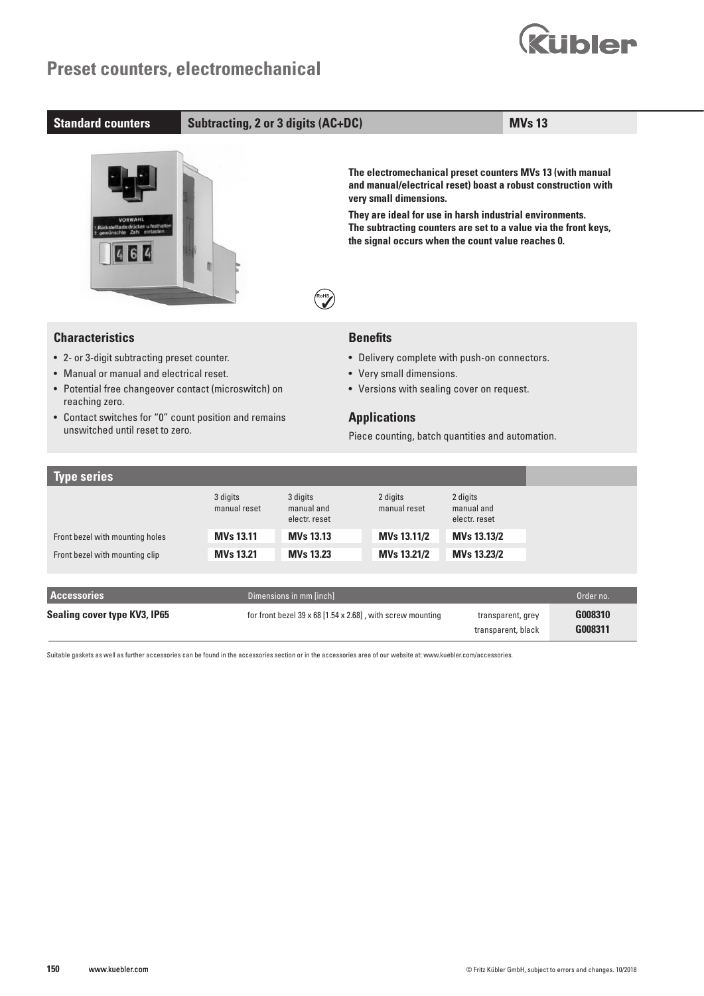

| <b>Standard counters</b>                                                                                                                                                                                                                                                                | <b>Subtracting, 2 or 3 digits (AC+DC)</b>    |                                                                                                                                                                                                                     |                                                                                                                                                                                                                                                                         |                                                        | <b>MVs 13</b>                                                 |
|-----------------------------------------------------------------------------------------------------------------------------------------------------------------------------------------------------------------------------------------------------------------------------------------|----------------------------------------------|---------------------------------------------------------------------------------------------------------------------------------------------------------------------------------------------------------------------|-------------------------------------------------------------------------------------------------------------------------------------------------------------------------------------------------------------------------------------------------------------------------|--------------------------------------------------------|---------------------------------------------------------------|
| Heate drücken u.festt                                                                                                                                                                                                                                                                   |                                              |                                                                                                                                                                                                                     | The electromechanical preset counters MVs 13 (with manual<br>very small dimensions.<br>They are ideal for use in harsh industrial environments.<br>The subtracting counters are set to a value via the front keys,<br>the signal occurs when the count value reaches 0. |                                                        | and manual/electrical reset) boast a robust construction with |
| <b>Characteristics</b><br>• 2- or 3-digit subtracting preset counter.<br>• Manual or manual and electrical reset.<br>• Potential free changeover contact (microswitch) on<br>reaching zero.<br>• Contact switches for "0" count position and remains<br>unswitched until reset to zero. |                                              | <b>Benefits</b><br>• Delivery complete with push-on connectors.<br>• Very small dimensions.<br>• Versions with sealing cover on request.<br><b>Applications</b><br>Piece counting, batch quantities and automation. |                                                                                                                                                                                                                                                                         |                                                        |                                                               |
| <b>Type series</b>                                                                                                                                                                                                                                                                      |                                              |                                                                                                                                                                                                                     |                                                                                                                                                                                                                                                                         |                                                        |                                                               |
| Front bezel with mounting holes                                                                                                                                                                                                                                                         | 3 digits<br>manual reset<br><b>MVs 13.11</b> | 3 digits<br>manual and<br>electr. reset<br><b>MVs 13.13</b>                                                                                                                                                         | 2 digits<br>manual reset<br>MVs 13.11/2                                                                                                                                                                                                                                 | 2 digits<br>manual and<br>electr. reset<br>MVs 13.13/2 |                                                               |

| Front bezel with mounting clip | <b>MVs 13.21</b> | <b>MVs 13.23</b>        | MVs 13.21/2                                                              | <b>MVs 13.23/2</b>                      |                    |
|--------------------------------|------------------|-------------------------|--------------------------------------------------------------------------|-----------------------------------------|--------------------|
|                                |                  |                         |                                                                          |                                         |                    |
| <b>Accessories</b>             |                  | Dimensions in mm [inch] |                                                                          |                                         | Order no.          |
| Sealing cover type KV3, IP65   |                  |                         | for front bezel $39 \times 68$ [1.54 $\times$ 2.68], with screw mounting | transparent, grey<br>transparent, black | G008310<br>G008311 |

Suitable gaskets as well as further accessories can be found in the accessories section or in the accessories area of our website at: www.kuebler.com/accessories.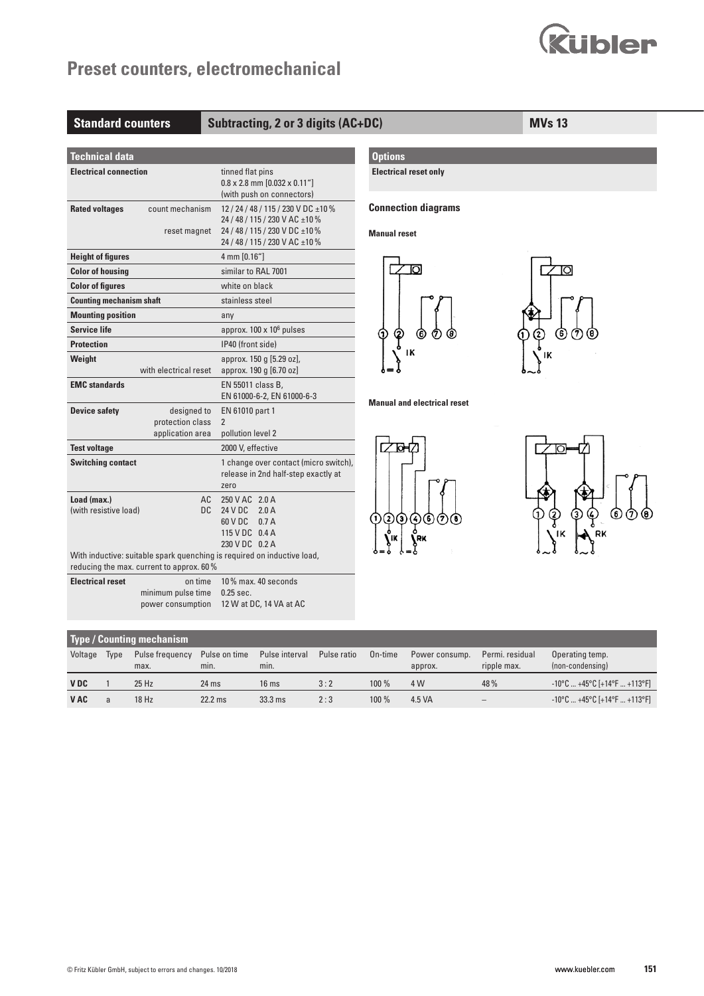

| <b>Standard counters</b>                                                                                          |                                                     | Subtracting, 2 or 3 digits (AC+DC)                                                                                                                       |                                                   | <b>MVs 13</b> |
|-------------------------------------------------------------------------------------------------------------------|-----------------------------------------------------|----------------------------------------------------------------------------------------------------------------------------------------------------------|---------------------------------------------------|---------------|
| <b>Technical data</b>                                                                                             |                                                     |                                                                                                                                                          | <b>Options</b>                                    |               |
| <b>Electrical connection</b>                                                                                      |                                                     | tinned flat pins<br>$0.8 \times 2.8$ mm $[0.032 \times 0.11$ "<br>(with push on connectors)                                                              | <b>Electrical reset only</b>                      |               |
| <b>Rated voltages</b>                                                                                             | count mechanism                                     | 12 / 24 / 48 / 115 / 230 V DC ± 10 %<br>24 / 48 / 115 / 230 V AC ± 10 %<br>reset magnet 24 / 48 / 115 / 230 V DC ±10 %<br>24 / 48 / 115 / 230 V AC ±10 % | <b>Connection diagrams</b><br><b>Manual reset</b> |               |
| <b>Height of figures</b><br><b>Color of housing</b><br><b>Color of figures</b><br><b>Counting mechanism shaft</b> |                                                     | 4 mm [0.16"]<br>similar to RAL 7001<br>white on black<br>stainless steel                                                                                 | Юl                                                | $\circ$       |
| <b>Mounting position</b><br><b>Service life</b><br><b>Protection</b><br>Weight                                    |                                                     | any<br>approx. $100 \times 10^6$ pulses<br>IP40 (front side)<br>approx. 150 g [5.29 oz],                                                                 | Q<br>6<br>ıĸ                                      | 6)<br>7       |
| <b>EMC</b> standards                                                                                              | with electrical reset                               | approx. 190 g [6.70 oz]<br>EN 55011 class B,<br>EN 61000-6-2, EN 61000-6-3                                                                               |                                                   |               |
| <b>Device safety</b>                                                                                              | designed to<br>protection class<br>application area | EN 61010 part 1<br>$\overline{2}$<br>pollution level 2                                                                                                   | <b>Manual and electrical reset</b>                |               |
| <b>Test voltage</b><br><b>Switching contact</b>                                                                   |                                                     | 2000 V, effective<br>1 change over contact (micro switch),<br>release in 2nd half-step exactly at<br>zero                                                |                                                   |               |
| Load (max.)<br>(with resistive load)                                                                              | AC.<br><b>DC</b>                                    | 250 V AC 2.0 A<br>24 V DC 2.0 A<br>60 V DC 0.7 A<br>115 V DC 0.4 A<br>230 V DC 0.2 A                                                                     | ⊚<br>$\bf{(2)}$<br>$\bf{G}$<br>(6)<br>(7)<br>Ð    |               |
|                                                                                                                   | reducing the max. current to approx. 60%            | With inductive: suitable spark quenching is required on inductive load,                                                                                  |                                                   |               |
| <b>Electrical reset</b>                                                                                           | on time<br>minimum pulse time<br>power consumption  | 10% max. 40 seconds<br>$0.25$ sec.<br>12 W at DC, 14 VA at AC                                                                                            |                                                   |               |

| <b>Type / Counting mechanism</b> |      |                         |                       |                        |             |         |                           |                                |                                        |
|----------------------------------|------|-------------------------|-----------------------|------------------------|-------------|---------|---------------------------|--------------------------------|----------------------------------------|
| Voltage                          | Type | Pulse frequency<br>max. | Pulse on time<br>min. | Pulse interval<br>min. | Pulse ratio | On-time | Power consump.<br>approx. | Permi, residual<br>ripple max. | Operating temp.<br>(non-condensing)    |
| <b>VDC</b>                       |      | $25$ Hz                 | $24$ ms               | 16 <sub>ms</sub>       | 3:2         | $100\%$ | 4 W                       | 48%                            | $-10^{\circ}$ C  +45°C [+14°F  +113°F] |
| <b>VAC</b>                       |      | 18 Hz                   | $22.2$ ms             | $33.3$ ms              | 2:3         | $100\%$ | 4.5 VA                    | -                              | $-10^{\circ}$ C  +45°C [+14°F  +113°F] |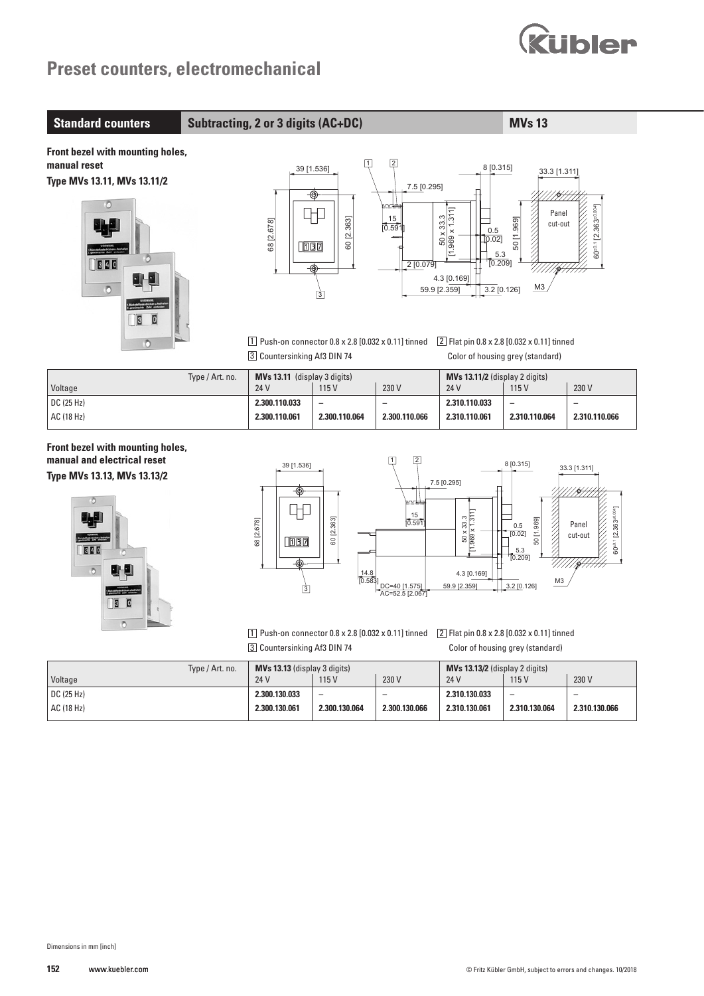

**Standard counters Subtracting, 2 or 3 digits (AC+DC) MVs 13** 

**Front bezel with mounting holes, manual reset Type MVs 13.11, MVs 13.11/2**







1 Push-on connector 0.8 x 2.8 [0.032 x 0.11] tinned 2 Flat pin 0.8 x 2.8 [0.032 x 0.11] tinned 3 Countersinking Af3 DIN 74 Color of housing grey (standard)

| Type / Art. no.         | <b>MVs 13.11</b> (display 3 digits) |               |               | $MVs$ 13.11/2 (display 2 digits) |               |                          |
|-------------------------|-------------------------------------|---------------|---------------|----------------------------------|---------------|--------------------------|
| Voltage                 | 24 V                                | 115V          | 230 V         | 24 V                             | 115 V         | 230 V                    |
| $\overline{DC}$ (25 Hz) | 2.300.110.033                       |               |               | 2.310.110.033                    |               | $\overline{\phantom{0}}$ |
| AC (18 Hz)              | 2.300.110.061                       | 2.300.110.064 | 2.300.110.066 | 2.310.110.061                    | 2.310.110.064 | 2.310.110.066            |

**Front bezel with mounting holes, manual and electrical reset Type MVs 13.13, MVs 13.13/2**





1 Push-on connector 0.8 x 2.8 [0.032 x 0.11] tinned 2 Flat pin 0.8 x 2.8 [0.032 x 0.11] tinned 3 Countersinking Af3 DIN 74 Color of housing grey (standard)

| Type / Art. no. | <b>MVs 13.13</b> (display 3 digits) |                          |               | $MVs$ 13.13/2 (display 2 digits) |               |               |
|-----------------|-------------------------------------|--------------------------|---------------|----------------------------------|---------------|---------------|
| Voltage         | 24 V                                | 115V                     | 230 V         | 24 V                             | 115V          | 230 V         |
| DC(25 Hz)       | 2.300.130.033                       | $\overline{\phantom{0}}$ |               | 2.310.130.033                    |               |               |
| AC (18 Hz)      | 2.300.130.061                       | 2.300.130.064            | 2.300.130.066 | 2.310.130.061                    | 2.310.130.064 | 2.310.130.066 |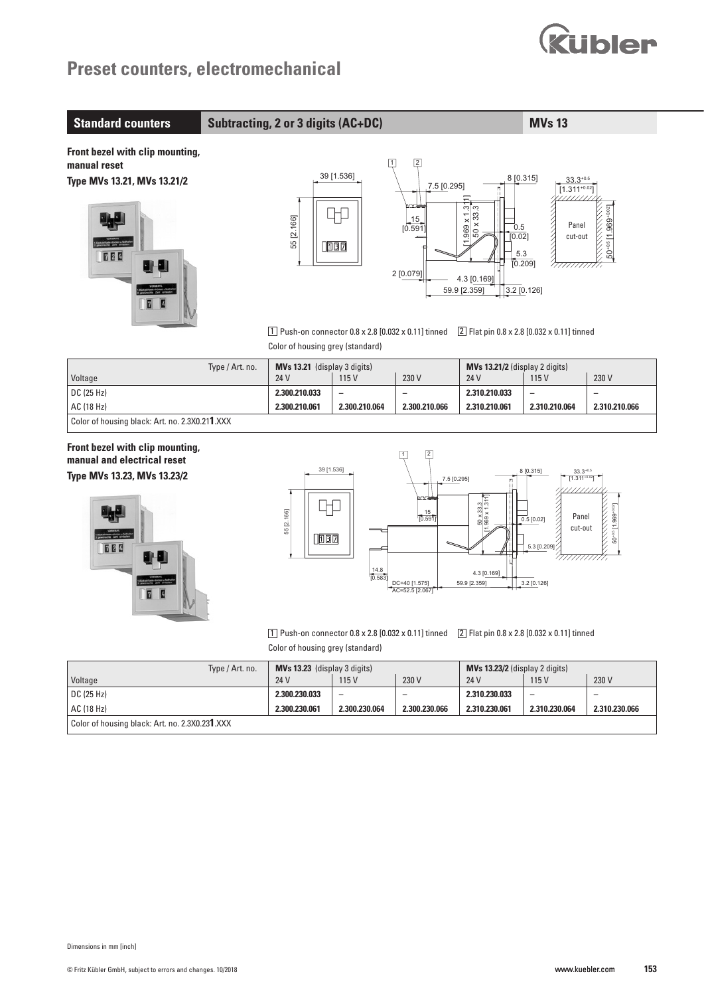

| <b>Standard counters</b>                                                              |                 | <b>Subtracting, 2 or 3 digits (AC+DC)</b>                                                                                                                                                                                                                                                                                                                                                                                                                                                                                                                                                     | <b>MVs 13</b>                     |                                                                 |                                                                                                                                                                        |                                                                                   |                                                              |
|---------------------------------------------------------------------------------------|-----------------|-----------------------------------------------------------------------------------------------------------------------------------------------------------------------------------------------------------------------------------------------------------------------------------------------------------------------------------------------------------------------------------------------------------------------------------------------------------------------------------------------------------------------------------------------------------------------------------------------|-----------------------------------|-----------------------------------------------------------------|------------------------------------------------------------------------------------------------------------------------------------------------------------------------|-----------------------------------------------------------------------------------|--------------------------------------------------------------|
| Front bezel with clip mounting,<br>manual reset<br>Type MVs 13.21, MVs 13.21/2<br>TEE |                 | 55 [2.166]<br>$\boxed{1}$ Push-on connector 0.8 x 2.8 [0.032 x 0.11] tinned<br>Color of housing grey (standard)                                                                                                                                                                                                                                                                                                                                                                                                                                                                               | $\boxed{1}$<br>39 [1.536]<br>1007 | $\boxed{2}$<br>7.5 [0.295]<br>$\frac{15}{[0.591]}$<br>2 [0.079] | 8 [0.315]<br>$\frac{969 \times 1.311}{50 \times 33.3}$<br>0.5<br>[0.02]<br>5.3<br>[0.209]<br>4.3 [0.169]<br>59.9 [2.359]<br>2 Flat pin 0.8 x 2.8 [0.032 x 0.11] tinned | $33.3^{+0.5}$<br>$[1.311^{+0.02}]$<br>Panel<br>Cut-ou<br>cut-out<br>$3.2$ [0.126] | $50^{+0.5}$ [1.969 <sup>+0.02</sup> ]<br>A MARIA MARIA 1997. |
|                                                                                       | Type / Art. no. | MVs 13.21 (display 3 digits)<br>24 V                                                                                                                                                                                                                                                                                                                                                                                                                                                                                                                                                          | 115 V                             | 230 V                                                           | MVs 13.21/2 (display 2 digits)<br>24 V                                                                                                                                 |                                                                                   | 230 V                                                        |
| Voltage<br>DC (25 Hz)                                                                 |                 | 2.300.210.033                                                                                                                                                                                                                                                                                                                                                                                                                                                                                                                                                                                 | $\overline{\phantom{0}}$          | $\overline{\phantom{0}}$                                        | 2.310.210.033                                                                                                                                                          | 115 V<br>$\overline{a}$                                                           | $\overline{\phantom{0}}$                                     |
| AC (18 Hz)                                                                            |                 | 2.300.210.061                                                                                                                                                                                                                                                                                                                                                                                                                                                                                                                                                                                 | 2.300.210.064                     | 2.300.210.066                                                   | 2.310.210.061                                                                                                                                                          | 2.310.210.064                                                                     | 2.310.210.066                                                |
| Color of housing black: Art. no. 2.3X0.211.XXX                                        |                 |                                                                                                                                                                                                                                                                                                                                                                                                                                                                                                                                                                                               |                                   |                                                                 |                                                                                                                                                                        |                                                                                   |                                                              |
| manual and electrical reset<br>Type MVs 13.23, MVs 13.23/2<br>724                     |                 | $\boxed{2}$<br>$\boxed{1}$<br>39 [1.536]<br>8 [0.315]<br>$33.3^{+0.5}$<br>$[1.311^{+0.02}]$<br>7.5 [0.295]<br>m<br>$\frac{50 \times 33.3}{0.969 \times 1.311}$<br>50 <sup>+0.5</sup> [1.969 <sup>+0.02</sup> ]<br>55 [2.166]<br>$\frac{15}{[0.591]}$<br>Panel<br>$\overline{0.5}$ [0.02]<br>cut-out<br>$\Box$ 087<br>5.3 [0.209]<br>/777777777<br>14.8<br>4.3 [0.169]<br>10.583<br>59.9 [2.359]<br>$3.2$ [0.126]<br>DC=40 [1.575]<br>AC=52.5 [2.067]<br>1 Push-on connector 0.8 x 2.8 [0.032 x 0.11] tinned<br>2 Flat pin 0.8 x 2.8 [0.032 x 0.11] tinned<br>Color of housing grey (standard) |                                   |                                                                 |                                                                                                                                                                        |                                                                                   |                                                              |
| Voltage                                                                               | Type / Art. no. | MVs 13.23 (display 3 digits)<br>24 V                                                                                                                                                                                                                                                                                                                                                                                                                                                                                                                                                          | 115V                              | 230 V                                                           | MVs 13.23/2 (display 2 digits)<br>24 V                                                                                                                                 | 115V                                                                              | 230 V                                                        |
| DC (25 Hz)                                                                            |                 | 2.300.230.033                                                                                                                                                                                                                                                                                                                                                                                                                                                                                                                                                                                 | $\overline{\phantom{m}}$          | $\qquad \qquad -$                                               | 2.310.230.033                                                                                                                                                          | $\overline{\phantom{0}}$                                                          | $\qquad \qquad -$                                            |
| AC (18 Hz)                                                                            |                 | 2.300.230.061                                                                                                                                                                                                                                                                                                                                                                                                                                                                                                                                                                                 | 2.300.230.064                     | 2.300.230.066                                                   | 2.310.230.061                                                                                                                                                          | 2.310.230.064                                                                     | 2.310.230.066                                                |
| Color of housing black: Art. no. 2.3X0.231.XXX                                        |                 |                                                                                                                                                                                                                                                                                                                                                                                                                                                                                                                                                                                               |                                   |                                                                 |                                                                                                                                                                        |                                                                                   |                                                              |
|                                                                                       |                 |                                                                                                                                                                                                                                                                                                                                                                                                                                                                                                                                                                                               |                                   |                                                                 |                                                                                                                                                                        |                                                                                   |                                                              |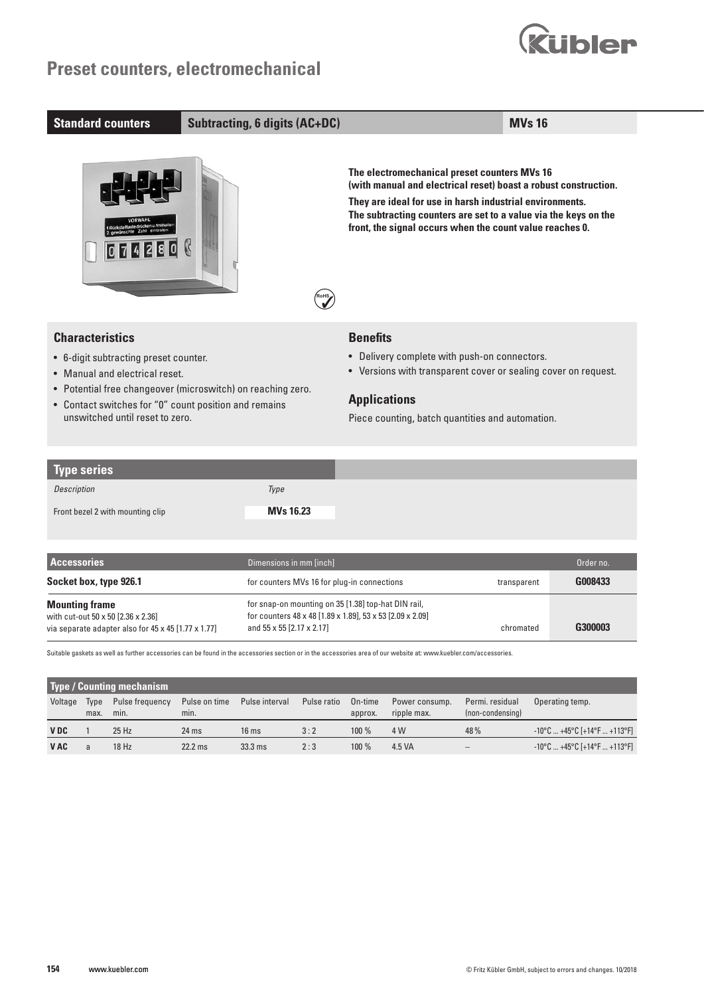



| Type series                      |           |
|----------------------------------|-----------|
| Description                      | Type      |
| Front bezel 2 with mounting clip | MVs 16.23 |

| <b>Accessories</b>                                                                                                 | Dimensions in mm [inch]                                                                                                                       |             | Order no. |
|--------------------------------------------------------------------------------------------------------------------|-----------------------------------------------------------------------------------------------------------------------------------------------|-------------|-----------|
| Socket box, type 926.1                                                                                             | for counters MVs 16 for plug-in connections                                                                                                   | transparent | G008433   |
| <b>Mounting frame</b><br>with cut-out 50 x 50 [2.36 x 2.36]<br>via separate adapter also for 45 x 45 [1.77 x 1.77] | for snap-on mounting on 35 [1.38] top-hat DIN rail,<br>for counters 48 x 48 [1.89 x 1.89], 53 x 53 [2.09 x 2.09]<br>and 55 x 55 [2.17 x 2.17] | chromated   | G300003   |

Suitable gaskets as well as further accessories can be found in the accessories section or in the accessories area of our website at: www.kuebler.com/accessories.

| <b>Type / Counting mechanism</b> |              |                         |                       |                  |                      |          |                               |                                     |                                                                     |
|----------------------------------|--------------|-------------------------|-----------------------|------------------|----------------------|----------|-------------------------------|-------------------------------------|---------------------------------------------------------------------|
| Voltage                          | Type<br>max. | Pulse frequency<br>min. | Pulse on time<br>min. | Pulse interval   | Pulse ratio  On-time | approx.  | Power consump.<br>ripple max. | Permi. residual<br>(non-condensing) | Operating temp.                                                     |
| <b>VDC</b>                       |              | $25$ Hz                 | $24$ ms               | 16 <sub>ms</sub> | 3:2                  | $100 \%$ | 4 W                           | 48%                                 | $-10^{\circ}$ C  +45°C [+14°F  +113°F]                              |
| <b>VAC</b>                       |              | 18 Hz                   | $22.2$ ms             | $33.3$ ms        | 2:3                  | $100\%$  | 4.5 VA                        |                                     | $-10^{\circ}$ C $+45^{\circ}$ C [ $+14^{\circ}$ F $+113^{\circ}$ F] |